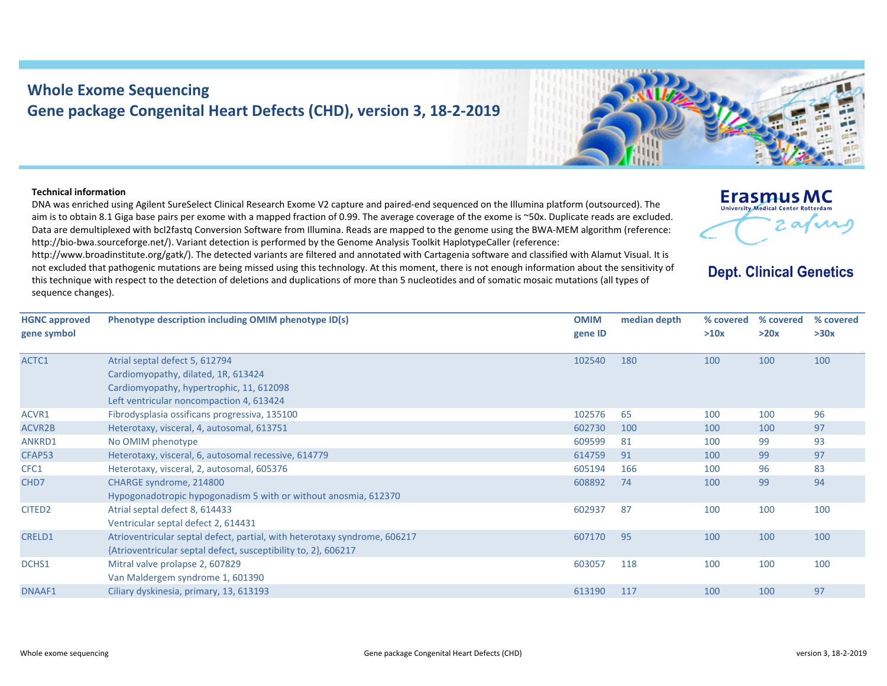## **Whole Exome Sequencing Gene package Congenital Heart Defects (CHD), version 3, 18‐2‐2019**

## **Technical information**

ACTC1

DNA was enriched using Agilent SureSelect Clinical Research Exome V2 capture and paired‐end sequenced on the Illumina platform (outsourced). The aim is to obtain 8.1 Giga base pairs per exome with <sup>a</sup> mapped fraction of 0.99. The average coverage of the exome is ~50x. Duplicate reads are excluded. Data are demultiplexed with bcl2fastq Conversion Software from Illumina. Reads are mapped to the genome using the BWA‐MEM algorithm (reference: http://bio-bwa.sourceforge.net/). Variant detection is performed by the Genome Analysis Toolkit HaplotypeCaller (reference:

http://www.broadinstitute.org/gatk/). The detected variants are filtered and annotated with Cartagenia software and classified with Alamut Visual. It is not excluded that pathogenic mutations are being missed using this technology. At this moment, there is not enough information about the sensitivity of this technique with respect to the detection of deletions and duplications of more than 5 nucleotides and of somatic mosaic mutations (all types of sequence changes).

**HGNC approved gene symbol Phenotype description including OMIM phenotype ID(s) OMIM gene ID median depth % covered % covered >10x**Atrial septal defect 5, 612794 Cardiomyopathy, dilated, 1R, 613424 102540 180 100 100 100

|                    | Cardiomyopathy, dilated, 1R, 613424                                       |        |     |     |     |     |
|--------------------|---------------------------------------------------------------------------|--------|-----|-----|-----|-----|
|                    | Cardiomyopathy, hypertrophic, 11, 612098                                  |        |     |     |     |     |
|                    | Left ventricular noncompaction 4, 613424                                  |        |     |     |     |     |
| ACVR1              | Fibrodysplasia ossificans progressiva, 135100                             | 102576 | 65  | 100 | 100 | 96  |
| <b>ACVR2B</b>      | Heterotaxy, visceral, 4, autosomal, 613751                                | 602730 | 100 | 100 | 100 | 97  |
| ANKRD1             | No OMIM phenotype                                                         | 609599 | 81  | 100 | 99  | 93  |
| CFAP53             | Heterotaxy, visceral, 6, autosomal recessive, 614779                      | 614759 | 91  | 100 | 99  | 97  |
| CFC1               | Heterotaxy, visceral, 2, autosomal, 605376                                | 605194 | 166 | 100 | 96  | 83  |
| CHD7               | CHARGE syndrome, 214800                                                   | 608892 | 74  | 100 | 99  | 94  |
|                    | Hypogonadotropic hypogonadism 5 with or without anosmia, 612370           |        |     |     |     |     |
| CITED <sub>2</sub> | Atrial septal defect 8, 614433                                            | 602937 | 87  | 100 | 100 | 100 |
|                    | Ventricular septal defect 2, 614431                                       |        |     |     |     |     |
| <b>CRELD1</b>      | Atrioventricular septal defect, partial, with heterotaxy syndrome, 606217 | 607170 | 95  | 100 | 100 | 100 |
|                    | {Atrioventricular septal defect, susceptibility to, 2}, 606217            |        |     |     |     |     |
| DCHS1              | Mitral valve prolapse 2, 607829                                           | 603057 | 118 | 100 | 100 | 100 |
|                    | Van Maldergem syndrome 1, 601390                                          |        |     |     |     |     |
| DNAAF1             | Ciliary dyskinesia, primary, 13, 613193                                   | 613190 | 117 | 100 | 100 | 97  |
|                    |                                                                           |        |     |     |     |     |



**Erasmus MC** University Medical Center Rotterdar

**Dept. Clinical Genetics** 

**% covered >30x**

**>20x**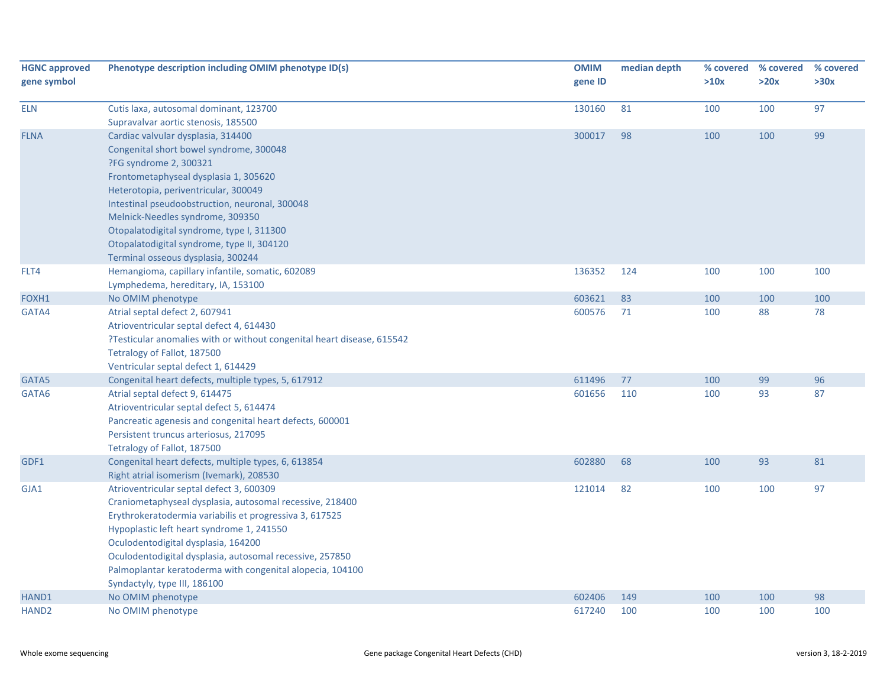| <b>HGNC approved</b><br>gene symbol | Phenotype description including OMIM phenotype ID(s)                                                                                                                                                                                                                                                                                                                                                            | <b>OMIM</b><br>gene ID | median depth | % covered<br>>10x | % covered<br>>20x | % covered<br>>30x |
|-------------------------------------|-----------------------------------------------------------------------------------------------------------------------------------------------------------------------------------------------------------------------------------------------------------------------------------------------------------------------------------------------------------------------------------------------------------------|------------------------|--------------|-------------------|-------------------|-------------------|
| <b>ELN</b>                          | Cutis laxa, autosomal dominant, 123700<br>Supravalvar aortic stenosis, 185500                                                                                                                                                                                                                                                                                                                                   | 130160                 | 81           | 100               | 100               | 97                |
| <b>FLNA</b>                         | Cardiac valvular dysplasia, 314400<br>Congenital short bowel syndrome, 300048<br>?FG syndrome 2, 300321<br>Frontometaphyseal dysplasia 1, 305620<br>Heterotopia, periventricular, 300049<br>Intestinal pseudoobstruction, neuronal, 300048<br>Melnick-Needles syndrome, 309350<br>Otopalatodigital syndrome, type I, 311300<br>Otopalatodigital syndrome, type II, 304120<br>Terminal osseous dysplasia, 300244 | 300017                 | 98           | 100               | 100               | 99                |
| FLT4                                | Hemangioma, capillary infantile, somatic, 602089<br>Lymphedema, hereditary, IA, 153100                                                                                                                                                                                                                                                                                                                          | 136352                 | 124          | 100               | 100               | 100               |
| FOXH1                               | No OMIM phenotype                                                                                                                                                                                                                                                                                                                                                                                               | 603621                 | 83           | 100               | 100               | 100               |
| GATA4                               | Atrial septal defect 2, 607941<br>Atrioventricular septal defect 4, 614430<br>?Testicular anomalies with or without congenital heart disease, 615542<br>Tetralogy of Fallot, 187500<br>Ventricular septal defect 1, 614429                                                                                                                                                                                      | 600576                 | 71           | 100               | 88                | 78                |
| GATA5                               | Congenital heart defects, multiple types, 5, 617912                                                                                                                                                                                                                                                                                                                                                             | 611496                 | 77           | 100               | 99                | 96                |
| GATA6                               | Atrial septal defect 9, 614475<br>Atrioventricular septal defect 5, 614474<br>Pancreatic agenesis and congenital heart defects, 600001<br>Persistent truncus arteriosus, 217095<br>Tetralogy of Fallot, 187500                                                                                                                                                                                                  | 601656                 | 110          | 100               | 93                | 87                |
| GDF1                                | Congenital heart defects, multiple types, 6, 613854<br>Right atrial isomerism (Ivemark), 208530                                                                                                                                                                                                                                                                                                                 | 602880                 | 68           | 100               | 93                | 81                |
| GJA1                                | Atrioventricular septal defect 3, 600309<br>Craniometaphyseal dysplasia, autosomal recessive, 218400<br>Erythrokeratodermia variabilis et progressiva 3, 617525<br>Hypoplastic left heart syndrome 1, 241550<br>Oculodentodigital dysplasia, 164200<br>Oculodentodigital dysplasia, autosomal recessive, 257850<br>Palmoplantar keratoderma with congenital alopecia, 104100<br>Syndactyly, type III, 186100    | 121014                 | 82           | 100               | 100               | 97                |
| HAND1                               | No OMIM phenotype                                                                                                                                                                                                                                                                                                                                                                                               | 602406                 | 149          | 100               | 100               | 98                |
| HAND <sub>2</sub>                   | No OMIM phenotype                                                                                                                                                                                                                                                                                                                                                                                               | 617240                 | 100          | 100               | 100               | 100               |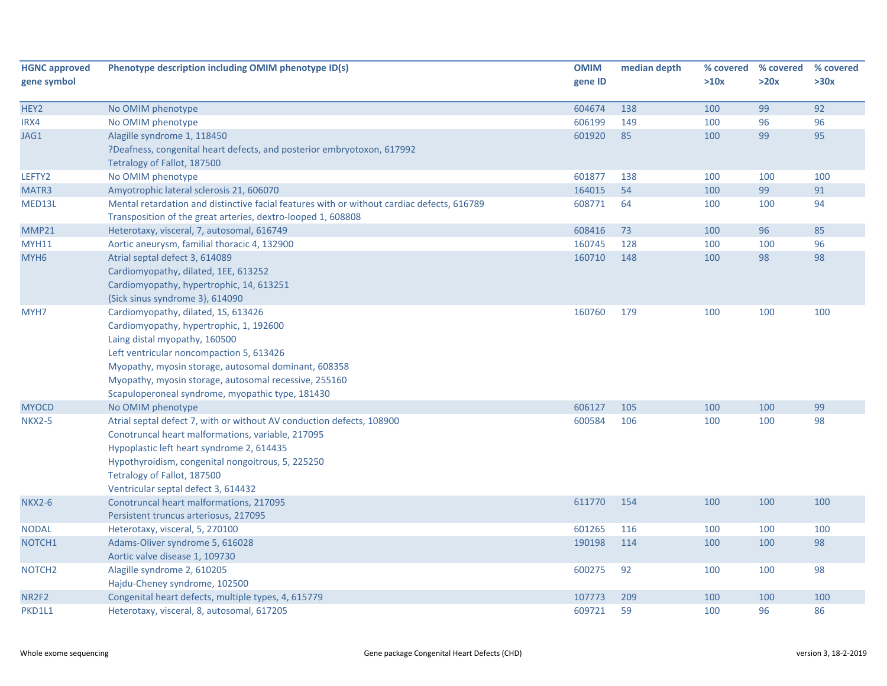| <b>HGNC approved</b><br>gene symbol | Phenotype description including OMIM phenotype ID(s)                                                                                                                                                                                                                                                                             | <b>OMIM</b><br>gene ID | median depth | % covered<br>>10x | % covered<br>>20x | % covered<br>>30x |
|-------------------------------------|----------------------------------------------------------------------------------------------------------------------------------------------------------------------------------------------------------------------------------------------------------------------------------------------------------------------------------|------------------------|--------------|-------------------|-------------------|-------------------|
| HEY2                                | No OMIM phenotype                                                                                                                                                                                                                                                                                                                | 604674                 | 138          | 100               | 99                | 92                |
| IRX4                                | No OMIM phenotype                                                                                                                                                                                                                                                                                                                | 606199                 | 149          | 100               | 96                | 96                |
| JAG1                                | Alagille syndrome 1, 118450<br>?Deafness, congenital heart defects, and posterior embryotoxon, 617992                                                                                                                                                                                                                            | 601920                 | 85           | 100               | 99                | 95                |
| LEFTY2                              | Tetralogy of Fallot, 187500<br>No OMIM phenotype                                                                                                                                                                                                                                                                                 | 601877                 | 138          | 100               | 100               | 100               |
| MATR3                               | Amyotrophic lateral sclerosis 21, 606070                                                                                                                                                                                                                                                                                         | 164015                 | 54           | 100               | 99                | 91                |
| MED13L                              | Mental retardation and distinctive facial features with or without cardiac defects, 616789<br>Transposition of the great arteries, dextro-looped 1, 608808                                                                                                                                                                       | 608771                 | 64           | 100               | 100               | 94                |
| MMP21                               | Heterotaxy, visceral, 7, autosomal, 616749                                                                                                                                                                                                                                                                                       | 608416                 | 73           | 100               | 96                | 85                |
| <b>MYH11</b>                        | Aortic aneurysm, familial thoracic 4, 132900                                                                                                                                                                                                                                                                                     | 160745                 | 128          | 100               | 100               | 96                |
| MYH <sub>6</sub>                    | Atrial septal defect 3, 614089<br>Cardiomyopathy, dilated, 1EE, 613252<br>Cardiomyopathy, hypertrophic, 14, 613251<br>{Sick sinus syndrome 3}, 614090                                                                                                                                                                            | 160710                 | 148          | 100               | 98                | 98                |
| MYH7                                | Cardiomyopathy, dilated, 1S, 613426<br>Cardiomyopathy, hypertrophic, 1, 192600<br>Laing distal myopathy, 160500<br>Left ventricular noncompaction 5, 613426<br>Myopathy, myosin storage, autosomal dominant, 608358<br>Myopathy, myosin storage, autosomal recessive, 255160<br>Scapuloperoneal syndrome, myopathic type, 181430 | 160760                 | 179          | 100               | 100               | 100               |
| <b>MYOCD</b>                        | No OMIM phenotype                                                                                                                                                                                                                                                                                                                | 606127                 | 105          | 100               | 100               | 99                |
| <b>NKX2-5</b>                       | Atrial septal defect 7, with or without AV conduction defects, 108900<br>Conotruncal heart malformations, variable, 217095<br>Hypoplastic left heart syndrome 2, 614435<br>Hypothyroidism, congenital nongoitrous, 5, 225250<br>Tetralogy of Fallot, 187500<br>Ventricular septal defect 3, 614432                               | 600584                 | 106          | 100               | 100               | 98                |
| <b>NKX2-6</b>                       | Conotruncal heart malformations, 217095<br>Persistent truncus arteriosus, 217095                                                                                                                                                                                                                                                 | 611770                 | 154          | 100               | 100               | 100               |
| <b>NODAL</b>                        | Heterotaxy, visceral, 5, 270100                                                                                                                                                                                                                                                                                                  | 601265                 | 116          | 100               | 100               | 100               |
| NOTCH <sub>1</sub>                  | Adams-Oliver syndrome 5, 616028<br>Aortic valve disease 1, 109730                                                                                                                                                                                                                                                                | 190198                 | 114          | 100               | 100               | 98                |
| NOTCH <sub>2</sub>                  | Alagille syndrome 2, 610205<br>Hajdu-Cheney syndrome, 102500                                                                                                                                                                                                                                                                     | 600275                 | 92           | 100               | 100               | 98                |
| NR2F2                               | Congenital heart defects, multiple types, 4, 615779                                                                                                                                                                                                                                                                              | 107773                 | 209          | 100               | 100               | 100               |
| PKD1L1                              | Heterotaxy, visceral, 8, autosomal, 617205                                                                                                                                                                                                                                                                                       | 609721                 | 59           | 100               | 96                | 86                |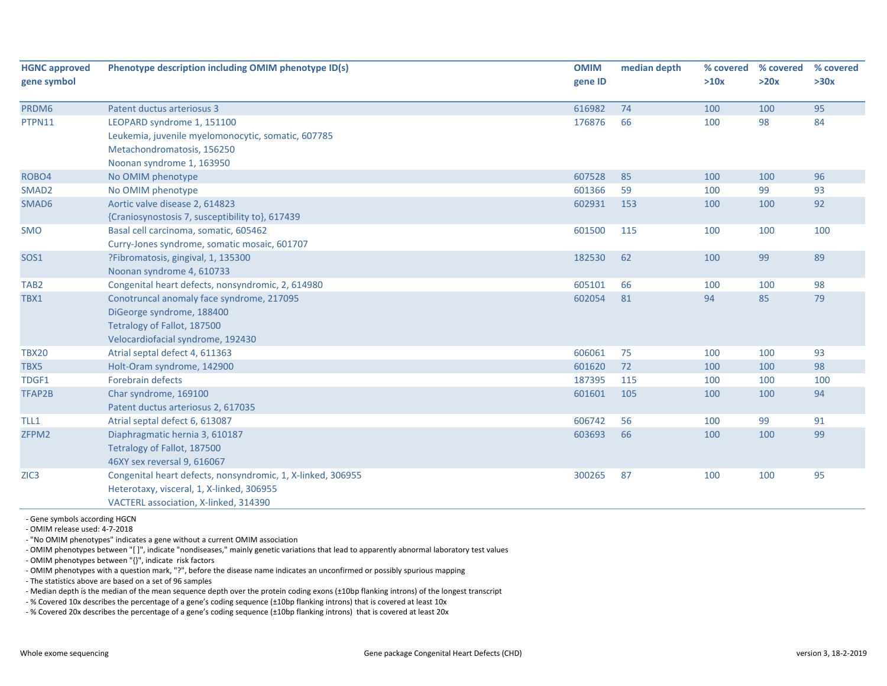| <b>HGNC approved</b> | Phenotype description including OMIM phenotype ID(s)        | <b>OMIM</b> | median depth | % covered | % covered | % covered |
|----------------------|-------------------------------------------------------------|-------------|--------------|-----------|-----------|-----------|
| gene symbol          |                                                             | gene ID     |              | >10x      | >20x      | >30x      |
| PRDM6                | Patent ductus arteriosus 3                                  | 616982      | 74           | 100       | 100       | 95        |
| PTPN11               | LEOPARD syndrome 1, 151100                                  | 176876      | 66           | 100       | 98        | 84        |
|                      | Leukemia, juvenile myelomonocytic, somatic, 607785          |             |              |           |           |           |
|                      | Metachondromatosis, 156250                                  |             |              |           |           |           |
|                      | Noonan syndrome 1, 163950                                   |             |              |           |           |           |
| ROBO4                | No OMIM phenotype                                           | 607528      | 85           | 100       | 100       | 96        |
| SMAD <sub>2</sub>    | No OMIM phenotype                                           | 601366      | 59           | 100       | 99        | 93        |
| SMAD6                | Aortic valve disease 2, 614823                              | 602931      | 153          | 100       | 100       | 92        |
|                      | {Craniosynostosis 7, susceptibility to}, 617439             |             |              |           |           |           |
| SMO                  | Basal cell carcinoma, somatic, 605462                       | 601500      | 115          | 100       | 100       | 100       |
|                      | Curry-Jones syndrome, somatic mosaic, 601707                |             |              |           |           |           |
| SOS1                 | ?Fibromatosis, gingival, 1, 135300                          | 182530      | 62           | 100       | 99        | 89        |
|                      | Noonan syndrome 4, 610733                                   |             |              |           |           |           |
| TAB <sub>2</sub>     | Congenital heart defects, nonsyndromic, 2, 614980           | 605101      | 66           | 100       | 100       | 98        |
| TBX1                 | Conotruncal anomaly face syndrome, 217095                   | 602054      | 81           | 94        | 85        | 79        |
|                      | DiGeorge syndrome, 188400                                   |             |              |           |           |           |
|                      | Tetralogy of Fallot, 187500                                 |             |              |           |           |           |
|                      | Velocardiofacial syndrome, 192430                           |             |              |           |           |           |
| <b>TBX20</b>         | Atrial septal defect 4, 611363                              | 606061      | 75           | 100       | 100       | 93        |
| TBX5                 | Holt-Oram syndrome, 142900                                  | 601620      | 72           | 100       | 100       | 98        |
| TDGF1                | Forebrain defects                                           | 187395      | 115          | 100       | 100       | 100       |
| TFAP2B               | Char syndrome, 169100                                       | 601601      | 105          | 100       | 100       | 94        |
|                      | Patent ductus arteriosus 2, 617035                          |             |              |           |           |           |
| TLL1                 | Atrial septal defect 6, 613087                              | 606742      | 56           | 100       | 99        | 91        |
| ZFPM2                | Diaphragmatic hernia 3, 610187                              | 603693      | 66           | 100       | 100       | 99        |
|                      | Tetralogy of Fallot, 187500                                 |             |              |           |           |           |
|                      | 46XY sex reversal 9, 616067                                 |             |              |           |           |           |
| ZIC <sub>3</sub>     | Congenital heart defects, nonsyndromic, 1, X-linked, 306955 | 300265      | 87           | 100       | 100       | 95        |
|                      | Heterotaxy, visceral, 1, X-linked, 306955                   |             |              |           |           |           |
|                      | VACTERL association, X-linked, 314390                       |             |              |           |           |           |

‐ Gene symbols according HGCN

‐ OMIM release used: 4‐7‐2018

‐ "No OMIM phenotypes" indicates <sup>a</sup> gene without <sup>a</sup> current OMIM association

‐ OMIM phenotypes between "[ ]", indicate "nondiseases," mainly genetic variations that lead to apparently abnormal laboratory test values

‐ OMIM phenotypes between "{}", indicate risk factors

‐ OMIM phenotypes with <sup>a</sup> question mark, "?", before the disease name indicates an unconfirmed or possibly spurious mapping

‐ The statistics above are based on <sup>a</sup> set of 96 samples

‐ Median depth is the median of the mean sequence depth over the protein coding exons (±10bp flanking introns) of the longest transcript

‐ % Covered 10x describes the percentage of <sup>a</sup> gene's coding sequence (±10bp flanking introns) that is covered at least 10x

‐ % Covered 20x describes the percentage of <sup>a</sup> gene's coding sequence (±10bp flanking introns) that is covered at least 20x